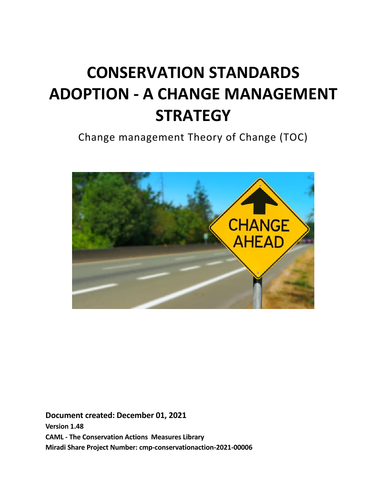# **CONSERVATION STANDARDS ADOPTION - A CHANGE MANAGEMENT STRATEGY**

Change management Theory of Change (TOC)



**Document created: December 01, 2021 Version 1.48 CAML - The Conservation Actions Measures Library Miradi Share Project Number: cmp-conservationaction-2021-00006**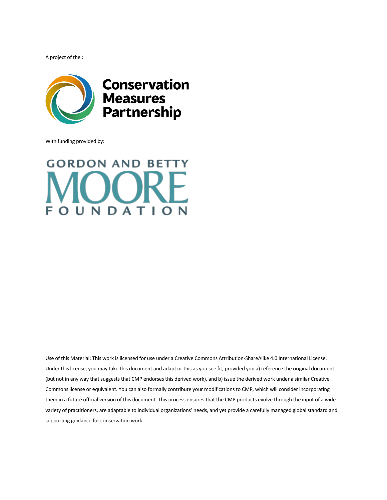A project of the :



With funding provided by:

## **GORDON AND BETTY**  $\Box$ OUNDATION

Use of this Material: This work is licensed for use under a Creative Commons Attribution-ShareAlike 4.0 International License. Under this license, you may take this document and adapt or this as you see fit, provided you a) reference the original document (but not in any way that suggests that CMP endorses this derived work), and b) issue the derived work under a similar Creative Commons license or equivalent. You can also formally contribute your modifications to CMP, which will consider incorporating them in a future official version of this document. This process ensures that the CMP products evolve through the input of a wide variety of practitioners, are adaptable to individual organizations' needs, and yet provide a carefully managed global standard and supporting guidance for conservation work.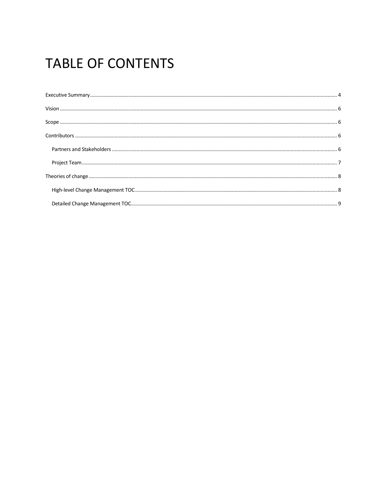## **TABLE OF CONTENTS**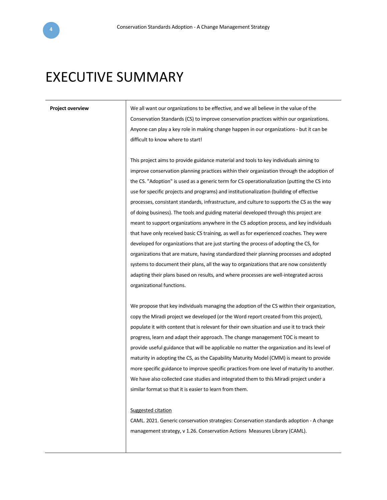## <span id="page-3-0"></span>EXECUTIVE SUMMARY

**Project overview** We all want our organizations to be effective, and we all believe in the value of the Conservation Standards (CS) to improve conservation practices within our organizations. Anyone can play a key role in making change happen in our organizations - but it can be difficult to know where to start!

> This project aims to provide guidance material and tools to key individuals aiming to improve conservation planning practices within their organization through the adoption of the CS. "Adoption" is used as a generic term for CS operationalization (putting the CS into use for specific projects and programs) and institutionalization (building of effective processes, consistant standards, infrastructure, and culture to supports the CS as the way of doing business). The tools and guiding material developed through this project are meant to support organizations anywhere in the CS adoption process, and key individuals that have only received basic CS training, as well as for experienced coaches. They were developed for organizations that are just starting the process of adopting the CS, for organizations that are mature, having standardized their planning processes and adopted systems to document their plans, all the way to organizations that are now consistently adapting their plans based on results, and where processes are well-integrated across organizational functions.

> We propose that key individuals managing the adoption of the CS within their organization, copy the Miradi project we developed (or the Word report created from this project), populate it with content that is relevant for their own situation and use it to track their progress, learn and adapt their approach. The change management TOC is meant to provide useful guidance that will be applicable no matter the organization and its level of maturity in adopting the CS, as the Capability Maturity Model (CMM) is meant to provide more specific guidance to improve specific practices from one level of maturity to another. We have also collected case studies and integrated them to this Miradi project under a similar format so that it is easier to learn from them.

#### Suggested citation

CAML. 2021. Generic conservation strategies: Conservation standards adoption - A change management strategy, v 1.26. Conservation Actions Measures Library (CAML).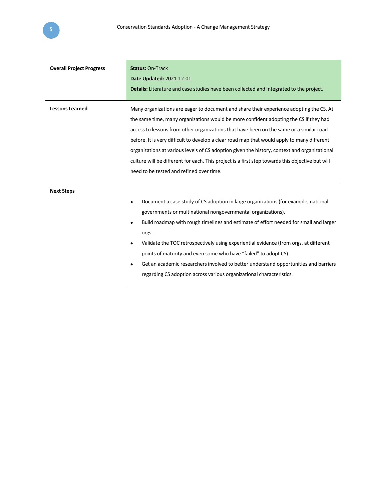| <b>Overall Project Progress</b> | <b>Status: On-Track</b><br>Date Updated: 2021-12-01<br><b>Details:</b> Literature and case studies have been collected and integrated to the project.                                                                                                                                                                                                                                                                                                                                                                                                                                                                      |  |
|---------------------------------|----------------------------------------------------------------------------------------------------------------------------------------------------------------------------------------------------------------------------------------------------------------------------------------------------------------------------------------------------------------------------------------------------------------------------------------------------------------------------------------------------------------------------------------------------------------------------------------------------------------------------|--|
| <b>Lessons Learned</b>          | Many organizations are eager to document and share their experience adopting the CS. At<br>the same time, many organizations would be more confident adopting the CS if they had<br>access to lessons from other organizations that have been on the same or a similar road<br>before. It is very difficult to develop a clear road map that would apply to many different<br>organizations at various levels of CS adoption given the history, context and organizational<br>culture will be different for each. This project is a first step towards this objective but will<br>need to be tested and refined over time. |  |
| <b>Next Steps</b>               | Document a case study of CS adoption in large organizations (for example, national<br>governments or multinational nongovernmental organizations).<br>Build roadmap with rough timelines and estimate of effort needed for small and larger<br>٠<br>orgs.<br>Validate the TOC retrospectively using experiential evidence (from orgs. at different<br>٠<br>points of maturity and even some who have "failed" to adopt CS).<br>Get an academic researchers involved to better understand opportunities and barriers<br>٠<br>regarding CS adoption across various organizational characteristics.                           |  |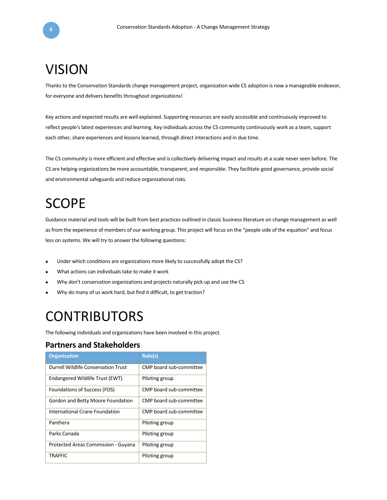## <span id="page-5-0"></span>VISION

Thanks to the Conservation Standards change management project, organization wide CS adoption is now a manageable endeavor, for everyone and delivers benefits throughout organizations!

Key actions and expected results are well explained. Supporting resources are easily accessible and continuously improved to reflect people's latest experiences and learning. Key individuals across the CS community continuously work as a team, support each other, share experiences and lessons learned, through direct interactions and in due time.

The CS community is more efficient and effective and is collectively delivering impact and results at a scale never seen before. The CS are helping organizations be more accountable, transparent, and responsible. They facilitate good governance, provide social and environmental safeguards and reduce organizational risks.

## <span id="page-5-1"></span>**SCOPE**

Guidance material and tools will be built from best practices outlined in classic business literature on change management as well as from the experience of members of our working group. This project will focus on the "people side of the equation" and focus less on systems. We will try to answer the following questions:

- Under which conditions are organizations more likely to successfully adopt the CS?
- What actions can individuals take to make it work
- Why don't conservation organizations and projects naturally pick up and use the CS
- <span id="page-5-2"></span>• Why do many of us work hard, but find it difficult, to get traction?

## **CONTRIBUTORS**

The following individuals and organizations have been involved in this project.

### <span id="page-5-3"></span>**Partners and Stakeholders**

| <b>Organization</b>                 | Role(s)                 |
|-------------------------------------|-------------------------|
| Durrell Wildlife Conservation Trust | CMP board sub-committee |
| Endangered Wildlife Trust (EWT)     | Piloting group          |
| Foundations of Success (FOS)        | CMP board sub-committee |
| Gordon and Betty Moore Foundation   | CMP board sub-committee |
| International Crane Foundation      | CMP board sub-committee |
| Panthera                            | Piloting group          |
| Parks Canada                        | Piloting group          |
| Protected Areas Commission - Guyana | Piloting group          |
| <b>TRAFFIC</b>                      | Piloting group          |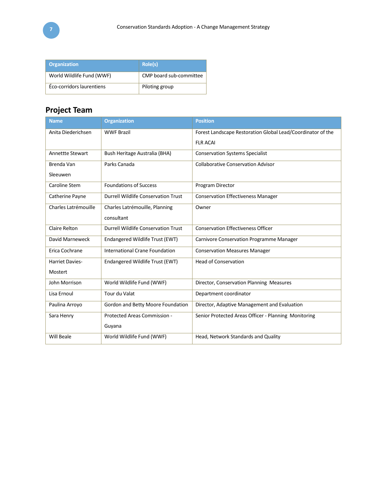| <b>Organization</b>       | Role(s)                 |
|---------------------------|-------------------------|
| World Wildlife Fund (WWF) | CMP board sub-committee |
| Éco-corridors laurentiens | Piloting group          |

## <span id="page-6-0"></span>**Project Team**

| <b>Name</b>             | <b>Organization</b>                        | <b>Position</b>                                             |
|-------------------------|--------------------------------------------|-------------------------------------------------------------|
| Anita Diederichsen      | <b>WWF Brazil</b>                          | Forest Landscape Restoration Global Lead/Coordinator of the |
|                         |                                            | <b>FLR ACAI</b>                                             |
| <b>Annettte Stewart</b> | Bush Heritage Australia (BHA)              | <b>Conservation Systems Specialist</b>                      |
| Brenda Van              | Parks Canada                               | <b>Collaborative Conservation Advisor</b>                   |
| Sleeuwen                |                                            |                                                             |
| Caroline Stem           | <b>Foundations of Success</b>              | Program Director                                            |
| Catherine Payne         | <b>Durrell Wildlife Conservation Trust</b> | <b>Conservation Effectiveness Manager</b>                   |
| Charles Latrémouille    | Charles Latrémouille, Planning             | Owner                                                       |
|                         | consultant                                 |                                                             |
| <b>Claire Relton</b>    | Durrell Wildlife Conservation Trust        | <b>Conservation Effectiveness Officer</b>                   |
| David Marneweck         | Endangered Wildlife Trust (EWT)            | Carnivore Conservation Programme Manager                    |
| Erica Cochrane          | International Crane Foundation             | <b>Conservation Measures Manager</b>                        |
| <b>Harriet Davies-</b>  | Endangered Wildlife Trust (EWT)            | <b>Head of Conservation</b>                                 |
| Mostert                 |                                            |                                                             |
| John Morrison           | World Wildlife Fund (WWF)                  | Director, Conservation Planning Measures                    |
| Lisa Ernoul             | Tour du Valat                              | Department coordinator                                      |
| Paulina Arroyo          | Gordon and Betty Moore Foundation          | Director, Adaptive Management and Evaluation                |
| Sara Henry              | Protected Areas Commission -               | Senior Protected Areas Officer - Planning Monitoring        |
|                         | Guyana                                     |                                                             |
| <b>Will Beale</b>       | World Wildlife Fund (WWF)                  | Head, Network Standards and Quality                         |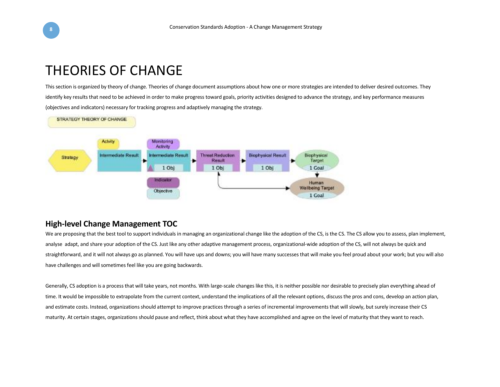

## THEORIES OF CHANGE

This section is organized by theory of change. Theories of change document assumptions about how one or more strategies are intended to deliver desired outcomes. They identify key results that need to be achieved in order to make progress toward goals, priority activities designed to advance the strategy, and key performance measures (objectives and indicators) necessary for tracking progress and adaptively managing the strategy.



## <span id="page-7-0"></span>**High-level Change Management TOC**

We are proposing that the best tool to support individuals in managing an organizational change like the adoption of the CS, is the CS. The CS allow you to assess, plan implement, analyse adapt, and share your adoption of the CS. Just like any other adaptive management process, organizational-wide adoption of the CS, will not always be quick and straightforward, and it will not always go as planned. You will have ups and downs; you will have many successes that will make you feel proud about your work; but you will also have challenges and will sometimes feel like you are going backwards.

<span id="page-7-1"></span>Generally, CS adoption is a process that will take years, not months. With large-scale changes like this, it is neither possible nor desirable to precisely plan everything ahead of time. It would be impossible to extrapolate from the current context, understand the implications of all the relevant options, discuss the pros and cons, develop an action plan, and estimate costs. Instead, organizations should attempt to improve practices through a series of incremental improvements that will slowly, but surely increase their CS maturity. At certain stages, organizations should pause and reflect, think about what they have accomplished and agree on the level of maturity that they want to reach.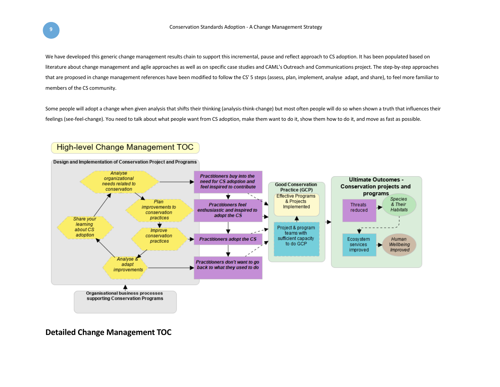We have developed this generic change management results chain to support this incremental, pause and reflect approach to CS adoption. It has been populated based on literature about change management and agile approaches as well as on specific case studies and CAML's Outreach and Communications project. The step-by-step approaches that are proposed in change management references have been modified to follow the CS' 5 steps (assess, plan, implement, analyse adapt, and share), to feel more familiar to members of the CS community.

Some people will adopt a change when given analysis that shifts their thinking (analysis-think-change) but most often people will do so when shown a truth that influences their feelings (see-feel-change). You need to talk about what people want from CS adoption, make them want to do it, show them how to do it, and move as fast as possible.

### **High-level Change Management TOC**



<span id="page-8-0"></span>**Detailed Change Management TOC**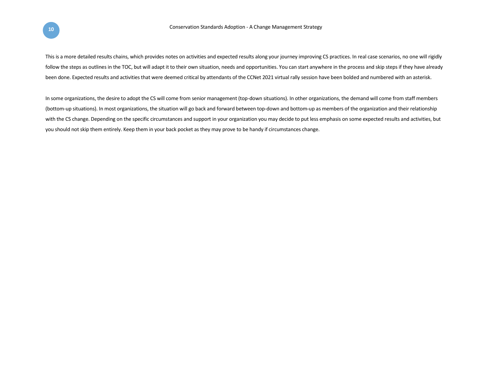This is a more detailed results chains, which provides notes on activities and expected results along your journey improving CS practices. In real case scenarios, no one will rigidly follow the steps as outlines in the TOC, but will adapt it to their own situation, needs and opportunities. You can start anywhere in the process and skip steps if they have already been done. Expected results and activities that were deemed critical by attendants of the CCNet 2021 virtual rally session have been bolded and numbered with an asterisk.

In some organizations, the desire to adopt the CS will come from senior management (top-down situations). In other organizations, the demand will come from staff members (bottom-up situations). In most organizations, the situation will go back and forward between top-down and bottom-up as members of the organization and their relationship with the CS change. Depending on the specific circumstances and support in your organization you may decide to put less emphasis on some expected results and activities, but you should not skip them entirely. Keep them in your back pocket as they may prove to be handy if circumstances change.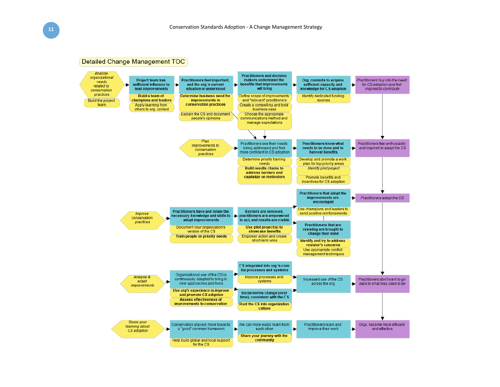

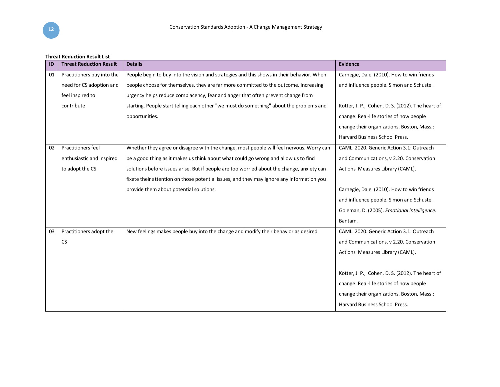#### **Threat Reduction Result List**

| ID | <b>Threat Reduction Result</b> | <b>Details</b>                                                                             | <b>Evidence</b>                                  |
|----|--------------------------------|--------------------------------------------------------------------------------------------|--------------------------------------------------|
| 01 | Practitioners buy into the     | People begin to buy into the vision and strategies and this shows in their behavior. When  | Carnegie, Dale. (2010). How to win friends       |
|    | need for CS adoption and       | people choose for themselves, they are far more committed to the outcome. Increasing       | and influence people. Simon and Schuste.         |
|    | feel inspired to               | urgency helps reduce complacency, fear and anger that often prevent change from            |                                                  |
|    | contribute                     | starting. People start telling each other "we must do something" about the problems and    | Kotter, J. P., Cohen, D. S. (2012). The heart of |
|    |                                | opportunities.                                                                             | change: Real-life stories of how people          |
|    |                                |                                                                                            | change their organizations. Boston, Mass.:       |
|    |                                |                                                                                            | Harvard Business School Press.                   |
| 02 | <b>Practitioners feel</b>      | Whether they agree or disagree with the change, most people will feel nervous. Worry can   | CAML. 2020. Generic Action 3.1: Outreach         |
|    | enthusiastic and inspired      | be a good thing as it makes us think about what could go wrong and allow us to find        | and Communications, v 2.20. Conservation         |
|    | to adopt the CS                | solutions before issues arise. But if people are too worried about the change, anxiety can | Actions Measures Library (CAML).                 |
|    |                                | fixate their attention on those potential issues, and they may ignore any information you  |                                                  |
|    |                                | provide them about potential solutions.                                                    | Carnegie, Dale. (2010). How to win friends       |
|    |                                |                                                                                            | and influence people. Simon and Schuste.         |
|    |                                |                                                                                            | Goleman, D. (2005). Emotional intelligence.      |
|    |                                |                                                                                            | Bantam.                                          |
| 03 | Practitioners adopt the        | New feelings makes people buy into the change and modify their behavior as desired.        | CAML. 2020. Generic Action 3.1: Outreach         |
|    | <b>CS</b>                      |                                                                                            | and Communications, v 2.20. Conservation         |
|    |                                |                                                                                            | Actions Measures Library (CAML).                 |
|    |                                |                                                                                            |                                                  |
|    |                                |                                                                                            | Kotter, J. P., Cohen, D. S. (2012). The heart of |
|    |                                |                                                                                            | change: Real-life stories of how people          |
|    |                                |                                                                                            | change their organizations. Boston, Mass.:       |
|    |                                |                                                                                            | Harvard Business School Press.                   |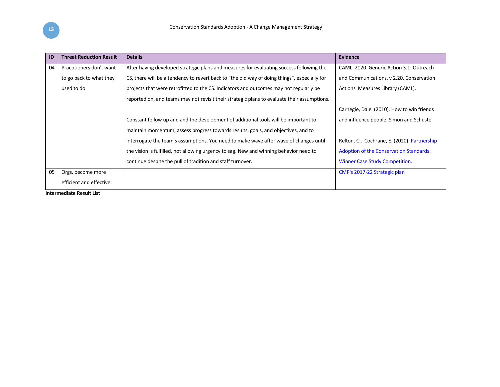| ID | <b>Threat Reduction Result</b> | <b>Details</b>                                                                               | Evidence                                       |
|----|--------------------------------|----------------------------------------------------------------------------------------------|------------------------------------------------|
| 04 | Practitioners don't want       | After having developed strategic plans and measures for evaluating success following the     | CAML. 2020. Generic Action 3.1: Outreach       |
|    | to go back to what they        | CS, there will be a tendency to revert back to "the old way of doing things", especially for | and Communications, v 2.20. Conservation       |
|    | used to do                     | projects that were retrofitted to the CS. Indicators and outcomes may not regularly be       | Actions Measures Library (CAML).               |
|    |                                | reported on, and teams may not revisit their strategic plans to evaluate their assumptions.  |                                                |
|    |                                |                                                                                              | Carnegie, Dale. (2010). How to win friends     |
|    |                                | Constant follow up and and the development of additional tools will be important to          | and influence people. Simon and Schuste.       |
|    |                                | maintain momentum, assess progress towards results, goals, and objectives, and to            |                                                |
|    |                                | interrogate the team's assumptions. You need to make wave after wave of changes until        | Relton, C., Cochrane, E. (2020). Partnership   |
|    |                                | the vision is fulfilled, not allowing urgency to sag. New and winning behavior need to       | <b>Adoption of the Conservation Standards:</b> |
|    |                                | continue despite the pull of tradition and staff turnover.                                   | <b>Winner Case Study Competition.</b>          |
| 05 | Orgs. become more              |                                                                                              | CMP's 2017-22 Strategic plan                   |
|    | efficient and effective        |                                                                                              |                                                |
|    | Intornacdicto Docult List      |                                                                                              |                                                |

**Intermediate Result List**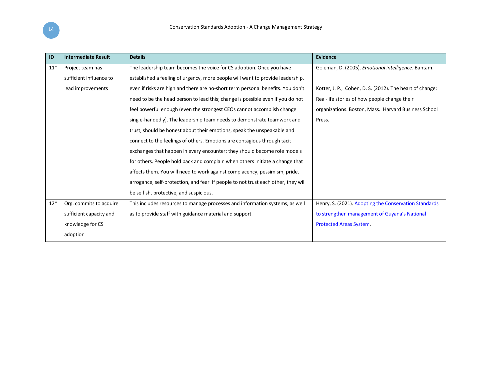| ID    | <b>Intermediate Result</b> | <b>Details</b>                                                                     | <b>Evidence</b>                                          |
|-------|----------------------------|------------------------------------------------------------------------------------|----------------------------------------------------------|
| $11*$ | Project team has           | The leadership team becomes the voice for CS adoption. Once you have               | Goleman, D. (2005). Emotional intelligence. Bantam.      |
|       | sufficient influence to    | established a feeling of urgency, more people will want to provide leadership,     |                                                          |
|       | lead improvements          | even if risks are high and there are no-short term personal benefits. You don't    | Kotter, J. P., Cohen, D. S. (2012). The heart of change: |
|       |                            | need to be the head person to lead this; change is possible even if you do not     | Real-life stories of how people change their             |
|       |                            | feel powerful enough (even the strongest CEOs cannot accomplish change             | organizations. Boston, Mass.: Harvard Business School    |
|       |                            | single-handedly). The leadership team needs to demonstrate teamwork and            | Press.                                                   |
|       |                            | trust, should be honest about their emotions, speak the unspeakable and            |                                                          |
|       |                            | connect to the feelings of others. Emotions are contagious through tacit           |                                                          |
|       |                            | exchanges that happen in every encounter: they should become role models           |                                                          |
|       |                            | for others. People hold back and complain when others initiate a change that       |                                                          |
|       |                            | affects them. You will need to work against complacency, pessimism, pride,         |                                                          |
|       |                            | arrogance, self-protection, and fear. If people to not trust each other, they will |                                                          |
|       |                            | be selfish, protective, and suspicious.                                            |                                                          |
| $12*$ | Org. commits to acquire    | This includes resources to manage processes and information systems, as well       | Henry, S. (2021). Adopting the Conservation Standards    |
|       | sufficient capacity and    | as to provide staff with guidance material and support.                            | to strengthen management of Guyana's National            |
|       | knowledge for CS           |                                                                                    | Protected Areas System.                                  |
|       | adoption                   |                                                                                    |                                                          |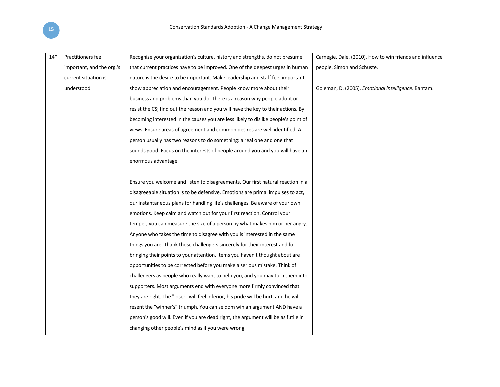| $14*$ | Practitioners feel        | Recognize your organization's culture, history and strengths, do not presume        | Carnegie, Dale. (2010). How to win friends and influence |
|-------|---------------------------|-------------------------------------------------------------------------------------|----------------------------------------------------------|
|       | important, and the org.'s | that current practices have to be improved. One of the deepest urges in human       | people. Simon and Schuste.                               |
|       | current situation is      | nature is the desire to be important. Make leadership and staff feel important,     |                                                          |
|       | understood                | show appreciation and encouragement. People know more about their                   | Goleman, D. (2005). Emotional intelligence. Bantam.      |
|       |                           | business and problems than you do. There is a reason why people adopt or            |                                                          |
|       |                           | resist the CS; find out the reason and you will have the key to their actions. By   |                                                          |
|       |                           | becoming interested in the causes you are less likely to dislike people's point of  |                                                          |
|       |                           | views. Ensure areas of agreement and common desires are well identified. A          |                                                          |
|       |                           | person usually has two reasons to do something: a real one and one that             |                                                          |
|       |                           | sounds good. Focus on the interests of people around you and you will have an       |                                                          |
|       |                           | enormous advantage.                                                                 |                                                          |
|       |                           |                                                                                     |                                                          |
|       |                           | Ensure you welcome and listen to disagreements. Our first natural reaction in a     |                                                          |
|       |                           | disagreeable situation is to be defensive. Emotions are primal impulses to act,     |                                                          |
|       |                           | our instantaneous plans for handling life's challenges. Be aware of your own        |                                                          |
|       |                           | emotions. Keep calm and watch out for your first reaction. Control your             |                                                          |
|       |                           | temper, you can measure the size of a person by what makes him or her angry.        |                                                          |
|       |                           | Anyone who takes the time to disagree with you is interested in the same            |                                                          |
|       |                           | things you are. Thank those challengers sincerely for their interest and for        |                                                          |
|       |                           | bringing their points to your attention. Items you haven't thought about are        |                                                          |
|       |                           | opportunities to be corrected before you make a serious mistake. Think of           |                                                          |
|       |                           | challengers as people who really want to help you, and you may turn them into       |                                                          |
|       |                           | supporters. Most arguments end with everyone more firmly convinced that             |                                                          |
|       |                           | they are right. The "loser" will feel inferior, his pride will be hurt, and he will |                                                          |
|       |                           | resent the "winner's" triumph. You can seldom win an argument AND have a            |                                                          |
|       |                           | person's good will. Even if you are dead right, the argument will be as futile in   |                                                          |
|       |                           | changing other people's mind as if you were wrong.                                  |                                                          |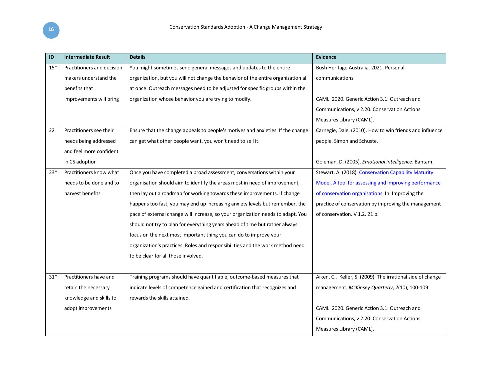| ID    | <b>Intermediate Result</b> | <b>Details</b>                                                                    | <b>Evidence</b>                                             |
|-------|----------------------------|-----------------------------------------------------------------------------------|-------------------------------------------------------------|
| $15*$ | Practitioners and decision | You might sometimes send general messages and updates to the entire               | Bush Heritage Australia. 2021. Personal                     |
|       | makers understand the      | organization, but you will not change the behavior of the entire organization all | communications.                                             |
|       | benefits that              | at once. Outreach messages need to be adjusted for specific groups within the     |                                                             |
|       | improvements will bring    | organization whose behavior you are trying to modify.                             | CAML. 2020. Generic Action 3.1: Outreach and                |
|       |                            |                                                                                   | Communications, v 2.20. Conservation Actions                |
|       |                            |                                                                                   | Measures Library (CAML).                                    |
| 22    | Practitioners see their    | Ensure that the change appeals to people's motives and anxieties. If the change   | Carnegie, Dale. (2010). How to win friends and influence    |
|       | needs being addressed      | can get what other people want, you won't need to sell it.                        | people. Simon and Schuste.                                  |
|       | and feel more confident    |                                                                                   |                                                             |
|       | in CS adoption             |                                                                                   | Goleman, D. (2005). Emotional intelligence. Bantam.         |
| $23*$ | Practitioners know what    | Once you have completed a broad assessment, conversations within your             | Stewart, A. (2018). Conservation Capability Maturity        |
|       | needs to be done and to    | organisation should aim to identify the areas most in need of improvement,        | Model, A tool for assessing and improving performance       |
|       | harvest benefits           | then lay out a roadmap for working towards these improvements. If change          | of conservation organisations. In: Improving the            |
|       |                            | happens too fast, you may end up increasing anxiety levels but remember, the      | practice of conservation by improving the management        |
|       |                            | pace of external change will increase, so your organization needs to adapt. You   | of conservation. V 1.2. 21 p.                               |
|       |                            | should not try to plan for everything years ahead of time but rather always       |                                                             |
|       |                            | focus on the next most important thing you can do to improve your                 |                                                             |
|       |                            | organization's practices. Roles and responsibilities and the work method need     |                                                             |
|       |                            | to be clear for all those involved.                                               |                                                             |
|       |                            |                                                                                   |                                                             |
| $31*$ | Practitioners have and     | Training programs should have quantifiable, outcome-based measures that           | Aiken, C., Keller, S. (2009). The irrational side of change |
|       | retain the necessary       | indicate levels of competence gained and certification that recognizes and        | management. McKinsey Quarterly, 2(10), 100-109.             |
|       | knowledge and skills to    | rewards the skills attained.                                                      |                                                             |
|       | adopt improvements         |                                                                                   | CAML. 2020. Generic Action 3.1: Outreach and                |
|       |                            |                                                                                   | Communications, v 2.20. Conservation Actions                |
|       |                            |                                                                                   | Measures Library (CAML).                                    |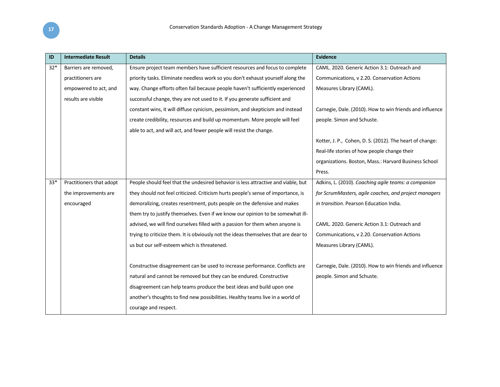| ID    | <b>Intermediate Result</b> | <b>Details</b>                                                                      | Evidence                                                 |
|-------|----------------------------|-------------------------------------------------------------------------------------|----------------------------------------------------------|
| $32*$ | Barriers are removed,      | Ensure project team members have sufficient resources and focus to complete         | CAML, 2020. Generic Action 3.1: Outreach and             |
|       | practitioners are          | priority tasks. Eliminate needless work so you don't exhaust yourself along the     | Communications, v 2.20. Conservation Actions             |
|       | empowered to act, and      | way. Change efforts often fail because people haven't sufficiently experienced      | Measures Library (CAML).                                 |
|       | results are visible        | successful change, they are not used to it. If you generate sufficient and          |                                                          |
|       |                            | constant wins, it will diffuse cynicism, pessimism, and skepticism and instead      | Carnegie, Dale. (2010). How to win friends and influence |
|       |                            | create credibility, resources and build up momentum. More people will feel          | people. Simon and Schuste.                               |
|       |                            | able to act, and will act, and fewer people will resist the change.                 |                                                          |
|       |                            |                                                                                     | Kotter, J. P., Cohen, D. S. (2012). The heart of change: |
|       |                            |                                                                                     | Real-life stories of how people change their             |
|       |                            |                                                                                     | organizations. Boston, Mass.: Harvard Business School    |
|       |                            |                                                                                     | Press.                                                   |
| $33*$ | Practitioners that adopt   | People should feel that the undesired behavior is less attractive and viable, but   | Adkins, L. (2010). Coaching agile teams: a companion     |
|       | the improvements are       | they should not feel criticized. Criticism hurts people's sense of importance, is   | for ScrumMasters, agile coaches, and project managers    |
|       | encouraged                 | demoralizing, creates resentment, puts people on the defensive and makes            | in transition. Pearson Education India.                  |
|       |                            | them try to justify themselves. Even if we know our opinion to be somewhat ill-     |                                                          |
|       |                            | advised, we will find ourselves filled with a passion for them when anyone is       | CAML. 2020. Generic Action 3.1: Outreach and             |
|       |                            | trying to criticize them. It is obviously not the ideas themselves that are dear to | Communications, v 2.20. Conservation Actions             |
|       |                            | us but our self-esteem which is threatened.                                         | Measures Library (CAML).                                 |
|       |                            |                                                                                     |                                                          |
|       |                            | Constructive disagreement can be used to increase performance. Conflicts are        | Carnegie, Dale. (2010). How to win friends and influence |
|       |                            | natural and cannot be removed but they can be endured. Constructive                 | people. Simon and Schuste.                               |
|       |                            | disagreement can help teams produce the best ideas and build upon one               |                                                          |
|       |                            | another's thoughts to find new possibilities. Healthy teams live in a world of      |                                                          |
|       |                            | courage and respect.                                                                |                                                          |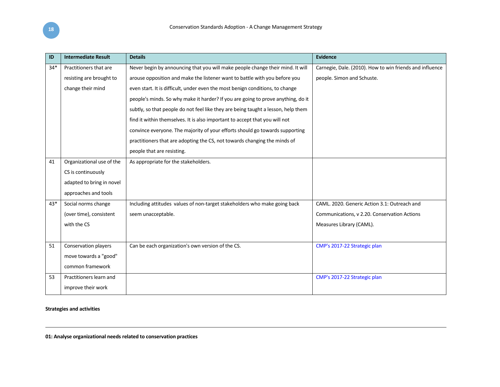| ID    | <b>Intermediate Result</b> | <b>Details</b>                                                                    | <b>Evidence</b>                                          |
|-------|----------------------------|-----------------------------------------------------------------------------------|----------------------------------------------------------|
| $34*$ | Practitioners that are     | Never begin by announcing that you will make people change their mind. It will    | Carnegie, Dale. (2010). How to win friends and influence |
|       | resisting are brought to   | arouse opposition and make the listener want to battle with you before you        | people. Simon and Schuste.                               |
|       | change their mind          | even start. It is difficult, under even the most benign conditions, to change     |                                                          |
|       |                            | people's minds. So why make it harder? If you are going to prove anything, do it  |                                                          |
|       |                            | subtly, so that people do not feel like they are being taught a lesson, help them |                                                          |
|       |                            | find it within themselves. It is also important to accept that you will not       |                                                          |
|       |                            | convince everyone. The majority of your efforts should go towards supporting      |                                                          |
|       |                            | practitioners that are adopting the CS, not towards changing the minds of         |                                                          |
|       |                            | people that are resisting.                                                        |                                                          |
| 41    | Organizational use of the  | As appropriate for the stakeholders.                                              |                                                          |
|       | CS is continuously         |                                                                                   |                                                          |
|       | adapted to bring in novel  |                                                                                   |                                                          |
|       | approaches and tools       |                                                                                   |                                                          |
| $43*$ | Social norms change        | Including attitudes values of non-target stakeholders who make going back         | CAML, 2020. Generic Action 3.1: Outreach and             |
|       | (over time), consistent    | seem unacceptable.                                                                | Communications, v 2.20. Conservation Actions             |
|       | with the CS                |                                                                                   | Measures Library (CAML).                                 |
|       |                            |                                                                                   |                                                          |
| 51    | Conservation players       | Can be each organization's own version of the CS.                                 | CMP's 2017-22 Strategic plan                             |
|       | move towards a "good"      |                                                                                   |                                                          |
|       | common framework           |                                                                                   |                                                          |
| 53    | Practitioners learn and    |                                                                                   | CMP's 2017-22 Strategic plan                             |
|       | improve their work         |                                                                                   |                                                          |

### **Strategies and activities**

**01: Analyse organizational needs related to conservation practices**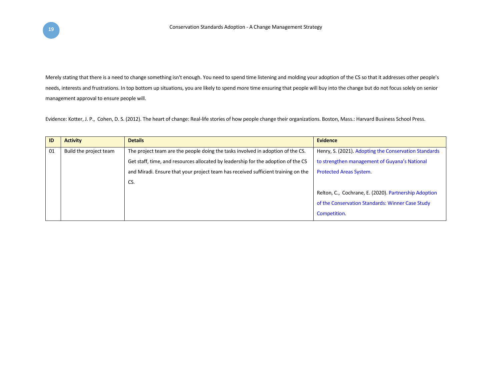Merely stating that there is a need to change something isn't enough. You need to spend time listening and molding your adoption of the CS so that it addresses other people's needs, interests and frustrations. In top bottom up situations, you are likely to spend more time ensuring that people will buy into the change but do not focus solely on senior management approval to ensure people will.

Evidence: Kotter, J. P., Cohen, D. S. (2012). The heart of change: Real-life stories of how people change their organizations. Boston, Mass.: Harvard Business School Press.

| <b>ID</b> | <b>Activity</b>        | <b>Details</b>                                                                    | <b>Evidence</b>                                       |
|-----------|------------------------|-----------------------------------------------------------------------------------|-------------------------------------------------------|
| 01        | Build the project team | The project team are the people doing the tasks involved in adoption of the CS.   | Henry, S. (2021). Adopting the Conservation Standards |
|           |                        | Get staff, time, and resources allocated by leadership for the adoption of the CS | to strengthen management of Guyana's National         |
|           |                        | and Miradi. Ensure that your project team has received sufficient training on the | <b>Protected Areas System.</b>                        |
|           |                        | CS.                                                                               |                                                       |
|           |                        |                                                                                   | Relton, C., Cochrane, E. (2020). Partnership Adoption |
|           |                        |                                                                                   | of the Conservation Standards: Winner Case Study      |
|           |                        |                                                                                   | Competition.                                          |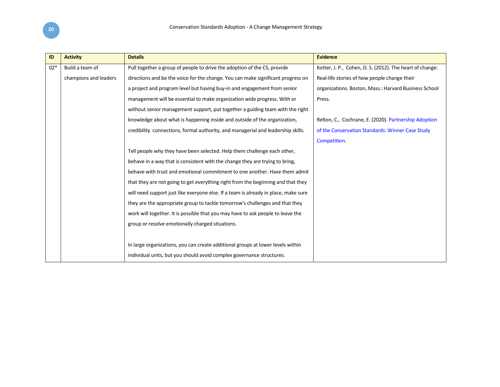| ID    | <b>Activity</b>       | <b>Details</b>                                                                      | <b>Evidence</b>                                          |
|-------|-----------------------|-------------------------------------------------------------------------------------|----------------------------------------------------------|
| $02*$ | Build a team of       | Pull together a group of people to drive the adoption of the CS, provide            | Kotter, J. P., Cohen, D. S. (2012). The heart of change: |
|       | champions and leaders | directions and be the voice for the change. You can make significant progress on    | Real-life stories of how people change their             |
|       |                       | a project and program level but having buy-in and engagement from senior            | organizations. Boston, Mass.: Harvard Business School    |
|       |                       | management will be essential to make organization wide progress. With or            | Press.                                                   |
|       |                       | without senior management support, put together a guiding team with the right       |                                                          |
|       |                       | knowledge about what is happening inside and outside of the organization,           | Relton, C., Cochrane, E. (2020). Partnership Adoption    |
|       |                       | credibility connections, formal authority, and managerial and leadership skills.    | of the Conservation Standards: Winner Case Study         |
|       |                       |                                                                                     | Competition.                                             |
|       |                       | Tell people why they have been selected. Help them challenge each other,            |                                                          |
|       |                       | behave in a way that is consistent with the change they are trying to bring,        |                                                          |
|       |                       | behave with trust and emotional commitment to one another. Have them admit          |                                                          |
|       |                       | that they are not going to get everything right from the beginning and that they    |                                                          |
|       |                       | will need support just like everyone else. If a team is already in place, make sure |                                                          |
|       |                       | they are the appropriate group to tackle tomorrow's challenges and that they        |                                                          |
|       |                       | work will together. It is possible that you may have to ask people to leave the     |                                                          |
|       |                       | group or resolve emotionally charged situations.                                    |                                                          |
|       |                       |                                                                                     |                                                          |
|       |                       | In large organizations, you can create additional groups at lower levels within     |                                                          |
|       |                       | individual units, but you should avoid complex governance structures.               |                                                          |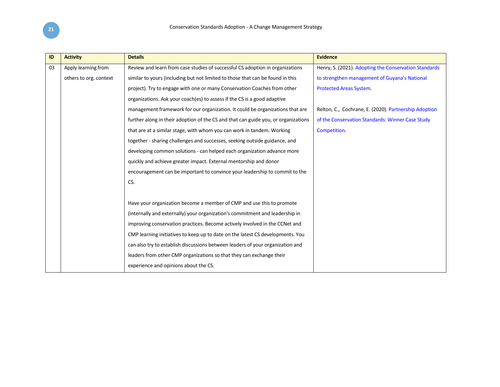| ID | <b>Activity</b>        | <b>Details</b>                                                                     | <b>Evidence</b>                                       |
|----|------------------------|------------------------------------------------------------------------------------|-------------------------------------------------------|
| 03 | Apply learning from    | Review and learn from case studies of successful CS adoption in organizations      | Henry, S. (2021). Adopting the Conservation Standards |
|    | others to org. context | similar to yours (including but not limited to those that can be found in this     | to strengthen management of Guyana's National         |
|    |                        | project). Try to engage with one or many Conservation Coaches from other           | <b>Protected Areas System.</b>                        |
|    |                        | organizations. Ask your coach(es) to assess if the CS is a good adaptive           |                                                       |
|    |                        | management framework for our organization. It could be organizations that are      | Relton, C., Cochrane, E. (2020). Partnership Adoption |
|    |                        | further along in their adoption of the CS and that can guide you, or organizations | of the Conservation Standards: Winner Case Study      |
|    |                        | that are at a similar stage, with whom you can work in tandem. Working             | Competition.                                          |
|    |                        | together - sharing challenges and successes, seeking outside guidance, and         |                                                       |
|    |                        | developing common solutions - can helped each organization advance more            |                                                       |
|    |                        | quickly and achieve greater impact. External mentorship and donor                  |                                                       |
|    |                        | encouragement can be important to convince your leadership to commit to the        |                                                       |
|    |                        | CS.                                                                                |                                                       |
|    |                        |                                                                                    |                                                       |
|    |                        | Have your organization become a member of CMP and use this to promote              |                                                       |
|    |                        | (internally and externally) your organization's commitment and leadership in       |                                                       |
|    |                        | improving conservation practices. Become actively involved in the CCNet and        |                                                       |
|    |                        | CMP learning initiatives to keep up to date on the latest CS developments. You     |                                                       |
|    |                        | can also try to establish discussions between leaders of your organization and     |                                                       |
|    |                        | leaders from other CMP organizations so that they can exchange their               |                                                       |
|    |                        | experience and opinions about the CS.                                              |                                                       |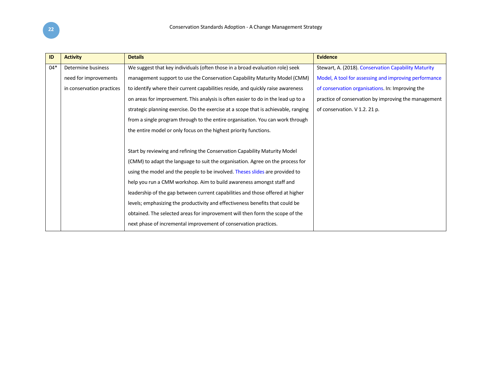| ID    | <b>Activity</b>           | <b>Details</b>                                                                      | <b>Evidence</b>                                       |
|-------|---------------------------|-------------------------------------------------------------------------------------|-------------------------------------------------------|
| $04*$ | Determine business        | We suggest that key individuals (often those in a broad evaluation role) seek       | Stewart, A. (2018). Conservation Capability Maturity  |
|       | need for improvements     | management support to use the Conservation Capability Maturity Model (CMM)          | Model, A tool for assessing and improving performance |
|       | in conservation practices | to identify where their current capabilities reside, and quickly raise awareness    | of conservation organisations. In: Improving the      |
|       |                           | on areas for improvement. This analysis is often easier to do in the lead up to a   | practice of conservation by improving the management  |
|       |                           | strategic planning exercise. Do the exercise at a scope that is achievable, ranging | of conservation. V 1.2. 21 p.                         |
|       |                           | from a single program through to the entire organisation. You can work through      |                                                       |
|       |                           | the entire model or only focus on the highest priority functions.                   |                                                       |
|       |                           |                                                                                     |                                                       |
|       |                           | Start by reviewing and refining the Conservation Capability Maturity Model          |                                                       |
|       |                           | (CMM) to adapt the language to suit the organisation. Agree on the process for      |                                                       |
|       |                           | using the model and the people to be involved. Theses slides are provided to        |                                                       |
|       |                           | help you run a CMM workshop. Aim to build awareness amongst staff and               |                                                       |
|       |                           | leadership of the gap between current capabilities and those offered at higher      |                                                       |
|       |                           | levels; emphasizing the productivity and effectiveness benefits that could be       |                                                       |
|       |                           | obtained. The selected areas for improvement will then form the scope of the        |                                                       |
|       |                           | next phase of incremental improvement of conservation practices.                    |                                                       |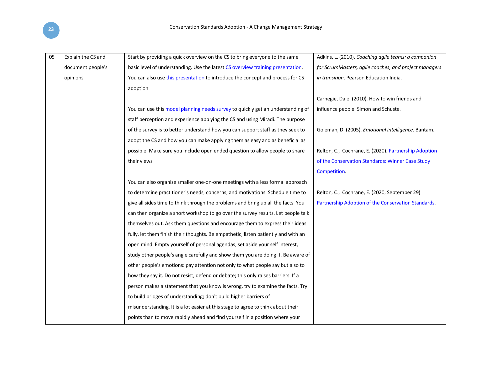| 05 | Explain the CS and | Start by providing a quick overview on the CS to bring everyone to the same        | Adkins, L. (2010). Coaching agile teams: a companion  |
|----|--------------------|------------------------------------------------------------------------------------|-------------------------------------------------------|
|    | document people's  | basic level of understanding. Use the latest CS overview training presentation.    | for ScrumMasters, agile coaches, and project managers |
|    | opinions           | You can also use this presentation to introduce the concept and process for CS     | in transition. Pearson Education India.               |
|    |                    | adoption.                                                                          |                                                       |
|    |                    |                                                                                    | Carnegie, Dale. (2010). How to win friends and        |
|    |                    | You can use this model planning needs survey to quickly get an understanding of    | influence people. Simon and Schuste.                  |
|    |                    | staff perception and experience applying the CS and using Miradi. The purpose      |                                                       |
|    |                    | of the survey is to better understand how you can support staff as they seek to    | Goleman, D. (2005). Emotional intelligence. Bantam.   |
|    |                    | adopt the CS and how you can make applying them as easy and as beneficial as       |                                                       |
|    |                    | possible. Make sure you include open ended question to allow people to share       | Relton, C., Cochrane, E. (2020). Partnership Adoption |
|    |                    | their views                                                                        | of the Conservation Standards: Winner Case Study      |
|    |                    |                                                                                    | Competition.                                          |
|    |                    | You can also organize smaller one-on-one meetings with a less formal approach      |                                                       |
|    |                    | to determine practitioner's needs, concerns, and motivations. Schedule time to     | Relton, C., Cochrane, E. (2020, September 29).        |
|    |                    | give all sides time to think through the problems and bring up all the facts. You  | Partnership Adoption of the Conservation Standards.   |
|    |                    | can then organize a short workshop to go over the survey results. Let people talk  |                                                       |
|    |                    | themselves out. Ask them questions and encourage them to express their ideas       |                                                       |
|    |                    | fully, let them finish their thoughts. Be empathetic, listen patiently and with an |                                                       |
|    |                    | open mind. Empty yourself of personal agendas, set aside your self interest,       |                                                       |
|    |                    | study other people's angle carefully and show them you are doing it. Be aware of   |                                                       |
|    |                    | other people's emotions: pay attention not only to what people say but also to     |                                                       |
|    |                    | how they say it. Do not resist, defend or debate; this only raises barriers. If a  |                                                       |
|    |                    | person makes a statement that you know is wrong, try to examine the facts. Try     |                                                       |
|    |                    | to build bridges of understanding; don't build higher barriers of                  |                                                       |
|    |                    | misunderstanding. It is a lot easier at this stage to agree to think about their   |                                                       |
|    |                    | points than to move rapidly ahead and find yourself in a position where your       |                                                       |
|    |                    |                                                                                    |                                                       |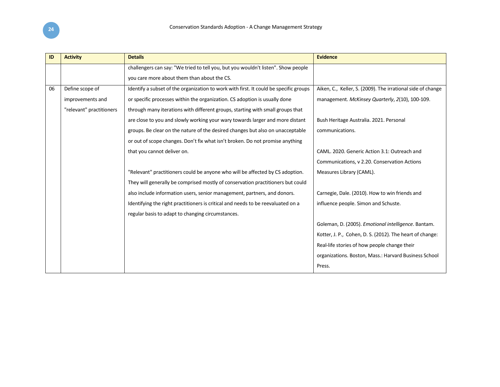| ID | <b>Activity</b>          | <b>Details</b>                                                                        | <b>Evidence</b>                                             |
|----|--------------------------|---------------------------------------------------------------------------------------|-------------------------------------------------------------|
|    |                          | challengers can say: "We tried to tell you, but you wouldn't listen". Show people     |                                                             |
|    |                          | you care more about them than about the CS.                                           |                                                             |
| 06 | Define scope of          | Identify a subset of the organization to work with first. It could be specific groups | Aiken, C., Keller, S. (2009). The irrational side of change |
|    | improvements and         | or specific processes within the organization. CS adoption is usually done            | management. McKinsey Quarterly, 2(10), 100-109.             |
|    | "relevant" practitioners | through many iterations with different groups, starting with small groups that        |                                                             |
|    |                          | are close to you and slowly working your wary towards larger and more distant         | Bush Heritage Australia. 2021. Personal                     |
|    |                          | groups. Be clear on the nature of the desired changes but also on unacceptable        | communications.                                             |
|    |                          | or out of scope changes. Don't fix what isn't broken. Do not promise anything         |                                                             |
|    |                          | that you cannot deliver on.                                                           | CAML, 2020. Generic Action 3.1: Outreach and                |
|    |                          |                                                                                       | Communications, v 2.20. Conservation Actions                |
|    |                          | "Relevant" practitioners could be anyone who will be affected by CS adoption.         | Measures Library (CAML).                                    |
|    |                          | They will generally be comprised mostly of conservation practitioners but could       |                                                             |
|    |                          | also include information users, senior management, partners, and donors.              | Carnegie, Dale. (2010). How to win friends and              |
|    |                          | Identifying the right practitioners is critical and needs to be reevaluated on a      | influence people. Simon and Schuste.                        |
|    |                          | regular basis to adapt to changing circumstances.                                     |                                                             |
|    |                          |                                                                                       | Goleman, D. (2005). Emotional intelligence. Bantam.         |
|    |                          |                                                                                       | Kotter, J. P., Cohen, D. S. (2012). The heart of change:    |
|    |                          |                                                                                       | Real-life stories of how people change their                |
|    |                          |                                                                                       | organizations. Boston, Mass.: Harvard Business School       |
|    |                          |                                                                                       | Press.                                                      |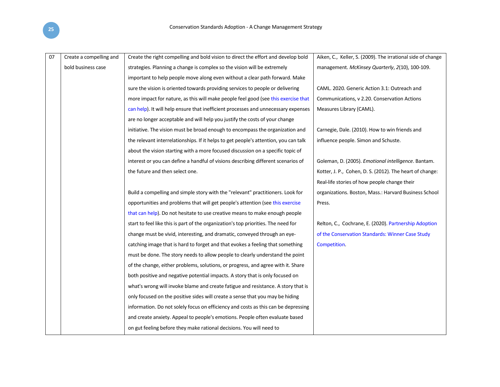| 07 | Create a compelling and | Create the right compelling and bold vision to direct the effort and develop bold    | Aiken, C., Keller, S. (2009). The irrational side of change |
|----|-------------------------|--------------------------------------------------------------------------------------|-------------------------------------------------------------|
|    | bold business case      | strategies. Planning a change is complex so the vision will be extremely             | management. McKinsey Quarterly, 2(10), 100-109.             |
|    |                         | important to help people move along even without a clear path forward. Make          |                                                             |
|    |                         | sure the vision is oriented towards providing services to people or delivering       | CAML. 2020. Generic Action 3.1: Outreach and                |
|    |                         | more impact for nature, as this will make people feel good (see this exercise that   | Communications, v 2.20. Conservation Actions                |
|    |                         | can help). It will help ensure that inefficient processes and unnecessary expenses   | Measures Library (CAML).                                    |
|    |                         | are no longer acceptable and will help you justify the costs of your change          |                                                             |
|    |                         | initiative. The vision must be broad enough to encompass the organization and        | Carnegie, Dale. (2010). How to win friends and              |
|    |                         | the relevant interrelationships. If it helps to get people's attention, you can talk | influence people. Simon and Schuste.                        |
|    |                         | about the vision starting with a more focused discussion on a specific topic of      |                                                             |
|    |                         | interest or you can define a handful of visions describing different scenarios of    | Goleman, D. (2005). Emotional intelligence. Bantam.         |
|    |                         | the future and then select one.                                                      | Kotter, J. P., Cohen, D. S. (2012). The heart of change:    |
|    |                         |                                                                                      | Real-life stories of how people change their                |
|    |                         | Build a compelling and simple story with the "relevant" practitioners. Look for      | organizations. Boston, Mass.: Harvard Business School       |
|    |                         | opportunities and problems that will get people's attention (see this exercise       | Press.                                                      |
|    |                         | that can help). Do not hesitate to use creative means to make enough people          |                                                             |
|    |                         | start to feel like this is part of the organization's top priorities. The need for   | Relton, C., Cochrane, E. (2020). Partnership Adoption       |
|    |                         | change must be vivid, interesting, and dramatic, conveyed through an eye-            | of the Conservation Standards: Winner Case Study            |
|    |                         | catching image that is hard to forget and that evokes a feeling that something       | Competition.                                                |
|    |                         | must be done. The story needs to allow people to clearly understand the point        |                                                             |
|    |                         | of the change, either problems, solutions, or progress, and agree with it. Share     |                                                             |
|    |                         | both positive and negative potential impacts. A story that is only focused on        |                                                             |
|    |                         | what's wrong will invoke blame and create fatigue and resistance. A story that is    |                                                             |
|    |                         | only focused on the positive sides will create a sense that you may be hiding        |                                                             |
|    |                         | information. Do not solely focus on efficiency and costs as this can be depressing   |                                                             |
|    |                         | and create anxiety. Appeal to people's emotions. People often evaluate based         |                                                             |
|    |                         | on gut feeling before they make rational decisions. You will need to                 |                                                             |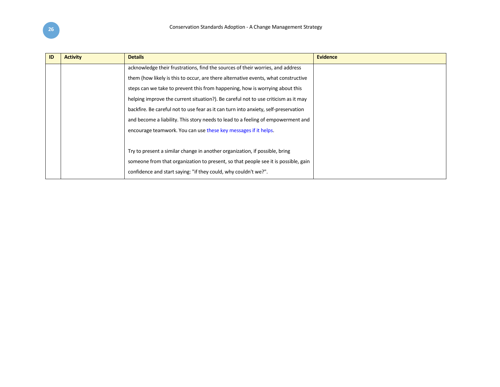| ID | <b>Activity</b> | <b>Details</b>                                                                      | <b>Evidence</b> |
|----|-----------------|-------------------------------------------------------------------------------------|-----------------|
|    |                 | acknowledge their frustrations, find the sources of their worries, and address      |                 |
|    |                 | them (how likely is this to occur, are there alternative events, what constructive  |                 |
|    |                 | steps can we take to prevent this from happening, how is worrying about this        |                 |
|    |                 | helping improve the current situation?). Be careful not to use criticism as it may  |                 |
|    |                 | backfire. Be careful not to use fear as it can turn into anxiety, self-preservation |                 |
|    |                 | and become a liability. This story needs to lead to a feeling of empowerment and    |                 |
|    |                 | encourage teamwork. You can use these key messages if it helps.                     |                 |
|    |                 |                                                                                     |                 |
|    |                 | Try to present a similar change in another organization, if possible, bring         |                 |
|    |                 | someone from that organization to present, so that people see it is possible, gain  |                 |
|    |                 | confidence and start saying: "if they could, why couldn't we?".                     |                 |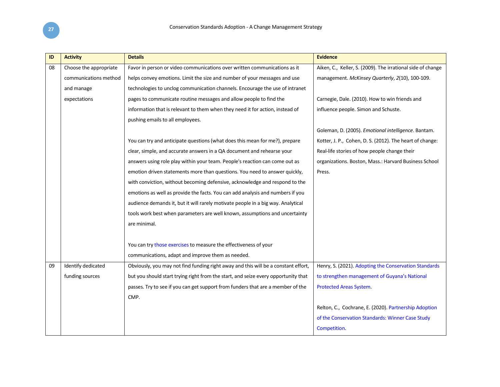| ID | <b>Activity</b>        | <b>Details</b>                                                                     | <b>Evidence</b>                                             |
|----|------------------------|------------------------------------------------------------------------------------|-------------------------------------------------------------|
| 08 | Choose the appropriate | Favor in person or video communications over written communications as it          | Aiken, C., Keller, S. (2009). The irrational side of change |
|    | communications method  | helps convey emotions. Limit the size and number of your messages and use          | management. McKinsey Quarterly, 2(10), 100-109.             |
|    | and manage             | technologies to unclog communication channels. Encourage the use of intranet       |                                                             |
|    | expectations           | pages to communicate routine messages and allow people to find the                 | Carnegie, Dale. (2010). How to win friends and              |
|    |                        | information that is relevant to them when they need it for action, instead of      | influence people. Simon and Schuste.                        |
|    |                        | pushing emails to all employees.                                                   |                                                             |
|    |                        |                                                                                    | Goleman, D. (2005). Emotional intelligence. Bantam.         |
|    |                        | You can try and anticipate questions (what does this mean for me?), prepare        | Kotter, J. P., Cohen, D. S. (2012). The heart of change:    |
|    |                        | clear, simple, and accurate answers in a QA document and rehearse your             | Real-life stories of how people change their                |
|    |                        | answers using role play within your team. People's reaction can come out as        | organizations. Boston, Mass.: Harvard Business School       |
|    |                        | emotion driven statements more than questions. You need to answer quickly,         | Press.                                                      |
|    |                        | with conviction, without becoming defensive, acknowledge and respond to the        |                                                             |
|    |                        | emotions as well as provide the facts. You can add analysis and numbers if you     |                                                             |
|    |                        | audience demands it, but it will rarely motivate people in a big way. Analytical   |                                                             |
|    |                        | tools work best when parameters are well known, assumptions and uncertainty        |                                                             |
|    |                        | are minimal.                                                                       |                                                             |
|    |                        |                                                                                    |                                                             |
|    |                        | You can try those exercises to measure the effectiveness of your                   |                                                             |
|    |                        | communications, adapt and improve them as needed.                                  |                                                             |
| 09 | Identify dedicated     | Obviously, you may not find funding right away and this will be a constant effort, | Henry, S. (2021). Adopting the Conservation Standards       |
|    | funding sources        | but you should start trying right from the start, and seize every opportunity that | to strengthen management of Guyana's National               |
|    |                        | passes. Try to see if you can get support from funders that are a member of the    | Protected Areas System.                                     |
|    |                        | CMP.                                                                               |                                                             |
|    |                        |                                                                                    | Relton, C., Cochrane, E. (2020). Partnership Adoption       |
|    |                        |                                                                                    | of the Conservation Standards: Winner Case Study            |
|    |                        |                                                                                    | Competition.                                                |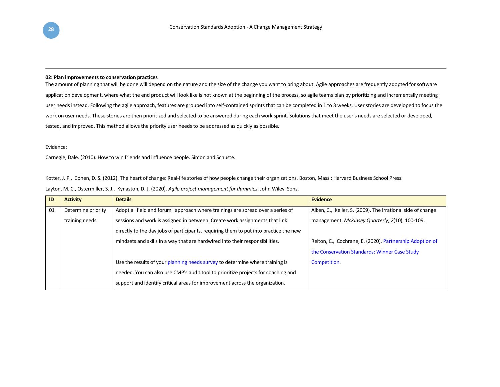#### **02: Plan improvements to conservation practices**

The amount of planning that will be done will depend on the nature and the size of the change you want to bring about. Agile approaches are frequently adopted for software application development, where what the end product will look like is not known at the beginning of the process, so agile teams plan by prioritizing and incrementally meeting user needs instead. Following the agile approach, features are grouped into self-contained sprints that can be completed in 1 to 3 weeks. User stories are developed to focus the work on user needs. These stories are then prioritized and selected to be answered during each work sprint. Solutions that meet the user's needs are selected or developed, tested, and improved. This method allows the priority user needs to be addressed as quickly as possible.

#### Evidence:

Carnegie, Dale. (2010). How to win friends and influence people. Simon and Schuste.

Kotter, J. P., Cohen, D. S. (2012). The heart of change: Real-life stories of how people change their organizations. Boston, Mass.: Harvard Business School Press.

| Layton, M. C., Ostermiller, S. J., Kynaston, D. J. (2020). Agile project management for dummies. John Wiley Sons. |  |  |  |  |
|-------------------------------------------------------------------------------------------------------------------|--|--|--|--|
|-------------------------------------------------------------------------------------------------------------------|--|--|--|--|

| ID | <b>Activity</b>    | <b>Details</b>                                                                        | <b>Evidence</b>                                             |
|----|--------------------|---------------------------------------------------------------------------------------|-------------------------------------------------------------|
| 01 | Determine priority | Adopt a "field and forum" approach where trainings are spread over a series of        | Aiken, C., Keller, S. (2009). The irrational side of change |
|    | training needs     | sessions and work is assigned in between. Create work assignments that link           | management. McKinsey Quarterly, 2(10), 100-109.             |
|    |                    | directly to the day jobs of participants, requiring them to put into practice the new |                                                             |
|    |                    | mindsets and skills in a way that are hardwired into their responsibilities.          | Relton, C., Cochrane, E. (2020). Partnership Adoption of    |
|    |                    |                                                                                       | the Conservation Standards: Winner Case Study               |
|    |                    | Use the results of your planning needs survey to determine where training is          | Competition.                                                |
|    |                    | needed. You can also use CMP's audit tool to prioritize projects for coaching and     |                                                             |
|    |                    | support and identify critical areas for improvement across the organization.          |                                                             |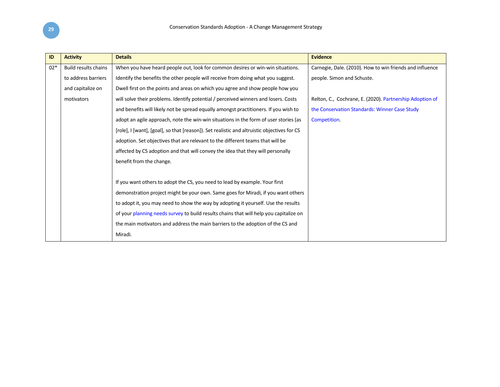| ID    | <b>Activity</b>      | <b>Details</b>                                                                              | <b>Evidence</b>                                          |
|-------|----------------------|---------------------------------------------------------------------------------------------|----------------------------------------------------------|
| $02*$ | Build results chains | When you have heard people out, look for common desires or win-win situations.              | Carnegie, Dale. (2010). How to win friends and influence |
|       | to address barriers  | Identify the benefits the other people will receive from doing what you suggest.            | people. Simon and Schuste.                               |
|       | and capitalize on    | Dwell first on the points and areas on which you agree and show people how you              |                                                          |
|       | motivators           | will solve their problems. Identify potential / perceived winners and losers. Costs         | Relton, C., Cochrane, E. (2020). Partnership Adoption of |
|       |                      | and benefits will likely not be spread equally amongst practitioners. If you wish to        | the Conservation Standards: Winner Case Study            |
|       |                      | adopt an agile approach, note the win-win situations in the form of user stories (as        | Competition.                                             |
|       |                      | [role], I [want], [goal], so that [reason]). Set realistic and altruistic objectives for CS |                                                          |
|       |                      | adoption. Set objectives that are relevant to the different teams that will be              |                                                          |
|       |                      | affected by CS adoption and that will convey the idea that they will personally             |                                                          |
|       |                      | benefit from the change.                                                                    |                                                          |
|       |                      |                                                                                             |                                                          |
|       |                      | If you want others to adopt the CS, you need to lead by example. Your first                 |                                                          |
|       |                      | demonstration project might be your own. Same goes for Miradi, if you want others           |                                                          |
|       |                      | to adopt it, you may need to show the way by adopting it yourself. Use the results          |                                                          |
|       |                      | of your planning needs survey to build results chains that will help you capitalize on      |                                                          |
|       |                      | the main motivators and address the main barriers to the adoption of the CS and             |                                                          |
|       |                      | Miradi.                                                                                     |                                                          |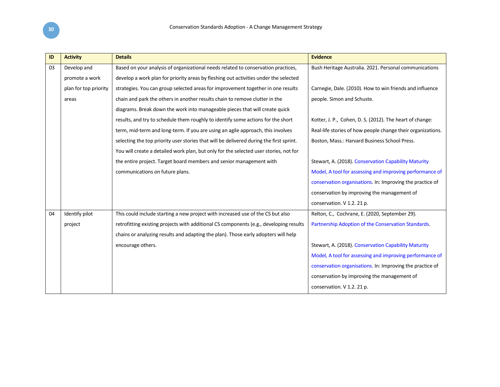| ID | <b>Activity</b>       | <b>Details</b>                                                                          | <b>Evidence</b>                                             |
|----|-----------------------|-----------------------------------------------------------------------------------------|-------------------------------------------------------------|
| 03 | Develop and           | Based on your analysis of organizational needs related to conservation practices,       | Bush Heritage Australia. 2021. Personal communications      |
|    | promote a work        | develop a work plan for priority areas by fleshing out activities under the selected    |                                                             |
|    | plan for top priority | strategies. You can group selected areas for improvement together in one results        | Carnegie, Dale. (2010). How to win friends and influence    |
|    | areas                 | chain and park the others in another results chain to remove clutter in the             | people. Simon and Schuste.                                  |
|    |                       | diagrams. Break down the work into manageable pieces that will create quick             |                                                             |
|    |                       | results, and try to schedule them roughly to identify some actions for the short        | Kotter, J. P., Cohen, D. S. (2012). The heart of change:    |
|    |                       | term, mid-term and long-term. If you are using an agile approach, this involves         | Real-life stories of how people change their organizations. |
|    |                       | selecting the top priority user stories that will be delivered during the first sprint. | Boston, Mass.: Harvard Business School Press.               |
|    |                       | You will create a detailed work plan, but only for the selected user stories, not for   |                                                             |
|    |                       | the entire project. Target board members and senior management with                     | Stewart, A. (2018). Conservation Capability Maturity        |
|    |                       | communications on future plans.                                                         | Model, A tool for assessing and improving performance of    |
|    |                       |                                                                                         | conservation organisations. In: Improving the practice of   |
|    |                       |                                                                                         | conservation by improving the management of                 |
|    |                       |                                                                                         | conservation. V 1.2. 21 p.                                  |
| 04 | Identify pilot        | This could include starting a new project with increased use of the CS but also         | Relton, C., Cochrane, E. (2020, September 29).              |
|    | project               | retrofitting existing projects with additional CS components (e.g., developing results  | Partnership Adoption of the Conservation Standards.         |
|    |                       | chains or analyzing results and adapting the plan). Those early adopters will help      |                                                             |
|    |                       | encourage others.                                                                       | Stewart, A. (2018). Conservation Capability Maturity        |
|    |                       |                                                                                         | Model, A tool for assessing and improving performance of    |
|    |                       |                                                                                         | conservation organisations. In: Improving the practice of   |
|    |                       |                                                                                         | conservation by improving the management of                 |
|    |                       |                                                                                         | conservation. V 1.2. 21 p.                                  |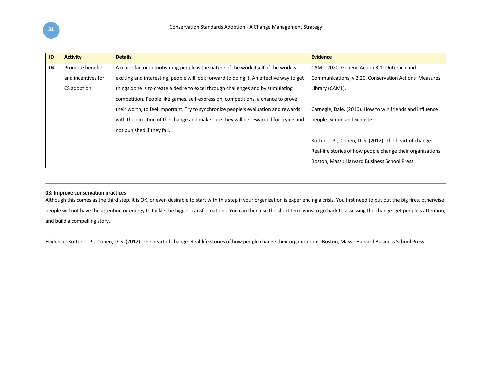| ID | <b>Activity</b>    | <b>Details</b>                                                                          | <b>Evidence</b>                                             |
|----|--------------------|-----------------------------------------------------------------------------------------|-------------------------------------------------------------|
| 04 | Promote benefits   | A major factor in motivating people is the nature of the work itself, if the work is    | CAML, 2020. Generic Action 3.1: Outreach and                |
|    | and incentives for | exciting and interesting, people will look forward to doing it. An effective way to get | Communications, v 2.20. Conservation Actions Measures       |
|    | CS adoption        | things done is to create a desire to excel through challenges and by stimulating        | Library (CAML).                                             |
|    |                    | competition. People like games, self-expression, competitions, a chance to prove        |                                                             |
|    |                    | their worth, to feel important. Try to synchronize people's evaluation and rewards      | Carnegie, Dale. (2010). How to win friends and influence    |
|    |                    | with the direction of the change and make sure they will be rewarded for trying and     | people. Simon and Schuste.                                  |
|    |                    | not punished if they fail.                                                              |                                                             |
|    |                    |                                                                                         | Kotter, J. P., Cohen, D. S. (2012). The heart of change:    |
|    |                    |                                                                                         | Real-life stories of how people change their organizations. |
|    |                    |                                                                                         | Boston, Mass.: Harvard Business School Press.               |

#### **03: Improve conservation practices**

Although this comes as the third step, it is OK, or even desirable to start with this step if your organization is experiencing a crisis. You first need to put out the big fires, otherwise people will not have the attention or energy to tackle the bigger transformations. You can then use the short term wins to go back to assessing the change: get people's attention, and build a compelling story.

Evidence: Kotter, J. P., Cohen, D. S. (2012). The heart of change: Real-life stories of how people change their organizations. Boston, Mass.: Harvard Business School Press.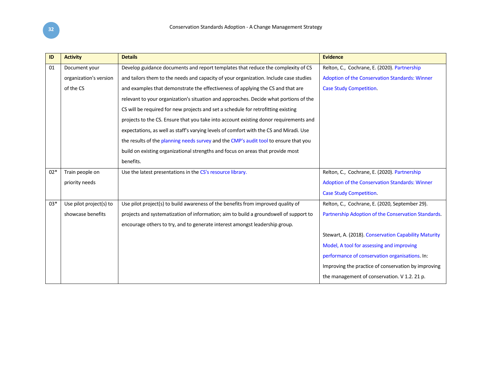| ID    | <b>Activity</b>         | <b>Details</b>                                                                         | <b>Evidence</b>                                      |
|-------|-------------------------|----------------------------------------------------------------------------------------|------------------------------------------------------|
| 01    | Document your           | Develop guidance documents and report templates that reduce the complexity of CS       | Relton, C., Cochrane, E. (2020). Partnership         |
|       | organization's version  | and tailors them to the needs and capacity of your organization. Include case studies  | Adoption of the Conservation Standards: Winner       |
|       | of the CS               | and examples that demonstrate the effectiveness of applying the CS and that are        | <b>Case Study Competition.</b>                       |
|       |                         | relevant to your organization's situation and approaches. Decide what portions of the  |                                                      |
|       |                         | CS will be required for new projects and set a schedule for retrofitting existing      |                                                      |
|       |                         | projects to the CS. Ensure that you take into account existing donor requirements and  |                                                      |
|       |                         | expectations, as well as staff's varying levels of comfort with the CS and Miradi. Use |                                                      |
|       |                         | the results of the planning needs survey and the CMP's audit tool to ensure that you   |                                                      |
|       |                         | build on existing organizational strengths and focus on areas that provide most        |                                                      |
|       |                         | benefits.                                                                              |                                                      |
| $02*$ | Train people on         | Use the latest presentations in the CS's resource library.                             | Relton, C., Cochrane, E. (2020). Partnership         |
|       | priority needs          |                                                                                        | Adoption of the Conservation Standards: Winner       |
|       |                         |                                                                                        | <b>Case Study Competition.</b>                       |
| $03*$ | Use pilot project(s) to | Use pilot project(s) to build awareness of the benefits from improved quality of       | Relton, C., Cochrane, E. (2020, September 29).       |
|       | showcase benefits       | projects and systematization of information; aim to build a groundswell of support to  | Partnership Adoption of the Conservation Standards.  |
|       |                         | encourage others to try, and to generate interest amongst leadership group.            |                                                      |
|       |                         |                                                                                        | Stewart, A. (2018). Conservation Capability Maturity |
|       |                         |                                                                                        | Model, A tool for assessing and improving            |
|       |                         |                                                                                        | performance of conservation organisations. In:       |
|       |                         |                                                                                        | Improving the practice of conservation by improving  |
|       |                         |                                                                                        | the management of conservation. V 1.2. 21 p.         |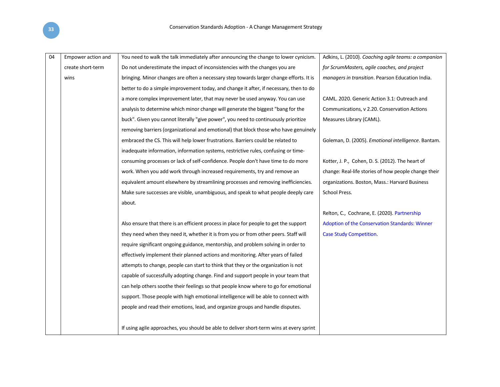| 04 | Empower action and | You need to walk the talk immediately after announcing the change to lower cynicism.     | Adkins, L. (2010). Coaching agile teams: a companion |
|----|--------------------|------------------------------------------------------------------------------------------|------------------------------------------------------|
|    | create short-term  | Do not underestimate the impact of inconsistencies with the changes you are              | for ScrumMasters, agile coaches, and project         |
|    | wins               | bringing. Minor changes are often a necessary step towards larger change efforts. It is  | managers in transition. Pearson Education India.     |
|    |                    | better to do a simple improvement today, and change it after, if necessary, then to do   |                                                      |
|    |                    | a more complex improvement later, that may never be used anyway. You can use             | CAML. 2020. Generic Action 3.1: Outreach and         |
|    |                    | analysis to determine which minor change will generate the biggest "bang for the         | Communications, v 2.20. Conservation Actions         |
|    |                    | buck". Given you cannot literally "give power", you need to continuously prioritize      | Measures Library (CAML).                             |
|    |                    | removing barriers (organizational and emotional) that block those who have genuinely     |                                                      |
|    |                    | embraced the CS. This will help lower frustrations. Barriers could be related to         | Goleman, D. (2005). Emotional intelligence. Bantam.  |
|    |                    | inadequate information, information systems, restrictive rules, confusing or time-       |                                                      |
|    |                    | consuming processes or lack of self-confidence. People don't have time to do more        | Kotter, J. P., Cohen, D. S. (2012). The heart of     |
|    |                    | work. When you add work through increased requirements, try and remove an                | change: Real-life stories of how people change their |
|    |                    | equivalent amount elsewhere by streamlining processes and removing inefficiencies.       | organizations. Boston, Mass.: Harvard Business       |
|    |                    | Make sure successes are visible, unambiguous, and speak to what people deeply care       | School Press.                                        |
|    |                    | about.                                                                                   |                                                      |
|    |                    |                                                                                          | Relton, C., Cochrane, E. (2020). Partnership         |
|    |                    | Also ensure that there is an efficient process in place for people to get the support    | Adoption of the Conservation Standards: Winner       |
|    |                    | they need when they need it, whether it is from you or from other peers. Staff will      | <b>Case Study Competition.</b>                       |
|    |                    | require significant ongoing guidance, mentorship, and problem solving in order to        |                                                      |
|    |                    | effectively implement their planned actions and monitoring. After years of failed        |                                                      |
|    |                    | attempts to change, people can start to think that they or the organization is not       |                                                      |
|    |                    | capable of successfully adopting change. Find and support people in your team that       |                                                      |
|    |                    | can help others soothe their feelings so that people know where to go for emotional      |                                                      |
|    |                    | support. Those people with high emotional intelligence will be able to connect with      |                                                      |
|    |                    | people and read their emotions, lead, and organize groups and handle disputes.           |                                                      |
|    |                    |                                                                                          |                                                      |
|    |                    | If using agile approaches, you should be able to deliver short-term wins at every sprint |                                                      |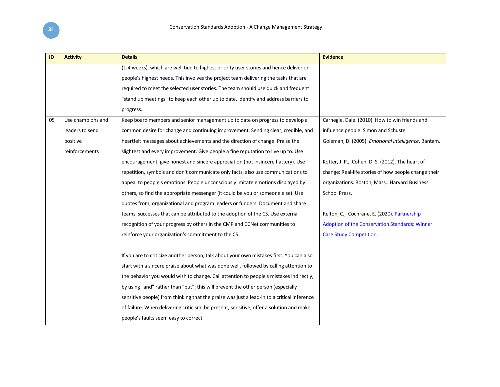| ID | <b>Activity</b>   | <b>Details</b>                                                                             | <b>Evidence</b>                                      |
|----|-------------------|--------------------------------------------------------------------------------------------|------------------------------------------------------|
|    |                   | (1-4 weeks), which are well tied to highest priority user stories and hence deliver on     |                                                      |
|    |                   | people's highest needs. This involves the project team delivering the tasks that are       |                                                      |
|    |                   | required to meet the selected user stories. The team should use quick and frequent         |                                                      |
|    |                   | "stand up meetings" to keep each other up to date, identify and address barriers to        |                                                      |
|    |                   | progress.                                                                                  |                                                      |
| 05 | Use champions and | Keep board members and senior management up to date on progress to develop a               | Carnegie, Dale. (2010). How to win friends and       |
|    | leaders to send   | common desire for change and continuing improvement. Sending clear, credible, and          | influence people. Simon and Schuste.                 |
|    | positive          | heartfelt messages about achievements and the direction of change. Praise the              | Goleman, D. (2005). Emotional intelligence. Bantam.  |
|    | reinforcements    | slightest and every improvement. Give people a fine reputation to live up to. Use          |                                                      |
|    |                   | encouragement, give honest and sincere appreciation (not insincere flattery). Use          | Kotter, J. P., Cohen, D. S. (2012). The heart of     |
|    |                   | repetition, symbols and don't communicate only facts, also use communications to           | change: Real-life stories of how people change their |
|    |                   | appeal to people's emotions. People unconsciously imitate emotions displayed by            | organizations. Boston, Mass.: Harvard Business       |
|    |                   | others, so find the appropriate messenger (it could be you or someone else). Use           | School Press.                                        |
|    |                   | quotes from, organizational and program leaders or funders. Document and share             |                                                      |
|    |                   | teams' successes that can be attributed to the adoption of the CS. Use external            | Relton, C., Cochrane, E. (2020). Partnership         |
|    |                   | recognition of your progress by others in the CMP and CCNet communities to                 | Adoption of the Conservation Standards: Winner       |
|    |                   | reinforce your organization's commitment to the CS.                                        | <b>Case Study Competition.</b>                       |
|    |                   |                                                                                            |                                                      |
|    |                   | If you are to criticize another person, talk about your own mistakes first. You can also   |                                                      |
|    |                   | start with a sincere praise about what was done well, followed by calling attention to     |                                                      |
|    |                   | the behavior you would wish to change. Call attention to people's mistakes indirectly,     |                                                      |
|    |                   | by using "and" rather than "but"; this will prevent the other person (especially           |                                                      |
|    |                   | sensitive people) from thinking that the praise was just a lead-in to a critical inference |                                                      |
|    |                   | of failure. When delivering criticism, be present, sensitive, offer a solution and make    |                                                      |
|    |                   | people's faults seem easy to correct.                                                      |                                                      |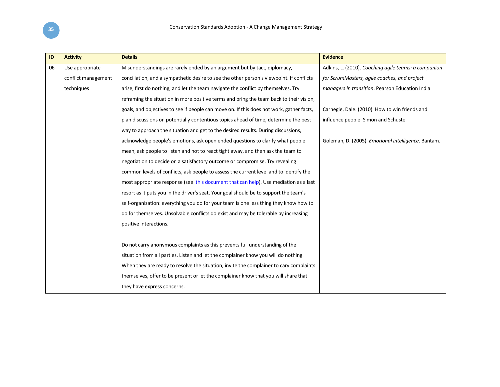| ID | <b>Activity</b>     | <b>Details</b>                                                                           | <b>Evidence</b>                                      |
|----|---------------------|------------------------------------------------------------------------------------------|------------------------------------------------------|
| 06 | Use appropriate     | Misunderstandings are rarely ended by an argument but by tact, diplomacy,                | Adkins, L. (2010). Coaching agile teams: a companion |
|    | conflict management | conciliation, and a sympathetic desire to see the other person's viewpoint. If conflicts | for ScrumMasters, agile coaches, and project         |
|    | techniques          | arise, first do nothing, and let the team navigate the conflict by themselves. Try       | managers in transition. Pearson Education India.     |
|    |                     | reframing the situation in more positive terms and bring the team back to their vision,  |                                                      |
|    |                     | goals, and objectives to see if people can move on. If this does not work, gather facts, | Carnegie, Dale. (2010). How to win friends and       |
|    |                     | plan discussions on potentially contentious topics ahead of time, determine the best     | influence people. Simon and Schuste.                 |
|    |                     | way to approach the situation and get to the desired results. During discussions,        |                                                      |
|    |                     | acknowledge people's emotions, ask open ended questions to clarify what people           | Goleman, D. (2005). Emotional intelligence. Bantam.  |
|    |                     | mean, ask people to listen and not to react tight away, and then ask the team to         |                                                      |
|    |                     | negotiation to decide on a satisfactory outcome or compromise. Try revealing             |                                                      |
|    |                     | common levels of conflicts, ask people to assess the current level and to identify the   |                                                      |
|    |                     | most appropriate response (see this document that can help). Use mediation as a last     |                                                      |
|    |                     | resort as it puts you in the driver's seat. Your goal should be to support the team's    |                                                      |
|    |                     | self-organization: everything you do for your team is one less thing they know how to    |                                                      |
|    |                     | do for themselves. Unsolvable conflicts do exist and may be tolerable by increasing      |                                                      |
|    |                     | positive interactions.                                                                   |                                                      |
|    |                     |                                                                                          |                                                      |
|    |                     | Do not carry anonymous complaints as this prevents full understanding of the             |                                                      |
|    |                     | situation from all parties. Listen and let the complainer know you will do nothing.      |                                                      |
|    |                     | When they are ready to resolve the situation, invite the complainer to cary complaints   |                                                      |
|    |                     | themselves, offer to be present or let the complainer know that you will share that      |                                                      |
|    |                     | they have express concerns.                                                              |                                                      |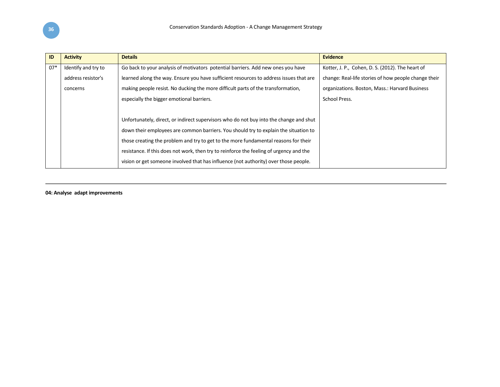| ID    | <b>Activity</b>     | <b>Details</b>                                                                          | <b>Evidence</b>                                      |
|-------|---------------------|-----------------------------------------------------------------------------------------|------------------------------------------------------|
| $07*$ | Identify and try to | Go back to your analysis of motivators potential barriers. Add new ones you have        | Kotter, J. P., Cohen, D. S. (2012). The heart of     |
|       | address resistor's  | learned along the way. Ensure you have sufficient resources to address issues that are  | change: Real-life stories of how people change their |
|       | concerns            | making people resist. No ducking the more difficult parts of the transformation,        | organizations. Boston, Mass.: Harvard Business       |
|       |                     | especially the bigger emotional barriers.                                               | School Press.                                        |
|       |                     |                                                                                         |                                                      |
|       |                     | Unfortunately, direct, or indirect supervisors who do not buy into the change and shut  |                                                      |
|       |                     | down their employees are common barriers. You should try to explain the situation to    |                                                      |
|       |                     | those creating the problem and try to get to the more fundamental reasons for their     |                                                      |
|       |                     | resistance. If this does not work, then try to reinforce the feeling of urgency and the |                                                      |
|       |                     | vision or get someone involved that has influence (not authority) over those people.    |                                                      |

**04: Analyse adapt improvements**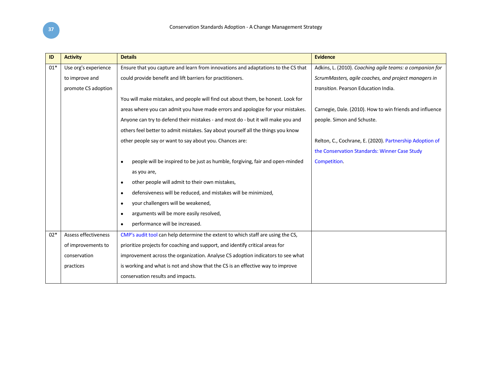| <b>Activity</b>             | <b>Details</b>                                                                             | <b>Evidence</b>                                          |
|-----------------------------|--------------------------------------------------------------------------------------------|----------------------------------------------------------|
| Use org's experience        | Ensure that you capture and learn from innovations and adaptations to the CS that          | Adkins, L. (2010). Coaching agile teams: a companion for |
| to improve and              | could provide benefit and lift barriers for practitioners.                                 | ScrumMasters, agile coaches, and project managers in     |
| promote CS adoption         |                                                                                            | transition. Pearson Education India.                     |
|                             | You will make mistakes, and people will find out about them, be honest. Look for           |                                                          |
|                             | areas where you can admit you have made errors and apologize for your mistakes.            | Carnegie, Dale. (2010). How to win friends and influence |
|                             | Anyone can try to defend their mistakes - and most do - but it will make you and           | people. Simon and Schuste.                               |
|                             | others feel better to admit mistakes. Say about yourself all the things you know           |                                                          |
|                             | other people say or want to say about you. Chances are:                                    | Relton, C., Cochrane, E. (2020). Partnership Adoption of |
|                             |                                                                                            | the Conservation Standards: Winner Case Study            |
|                             | people will be inspired to be just as humble, forgiving, fair and open-minded<br>$\bullet$ | Competition.                                             |
|                             | as you are,                                                                                |                                                          |
|                             | other people will admit to their own mistakes,<br>$\bullet$                                |                                                          |
|                             | defensiveness will be reduced, and mistakes will be minimized,<br>$\bullet$                |                                                          |
|                             | your challengers will be weakened,<br>٠                                                    |                                                          |
|                             | arguments will be more easily resolved,<br>$\bullet$                                       |                                                          |
|                             | performance will be increased.<br>$\bullet$                                                |                                                          |
| <b>Assess effectiveness</b> | CMP's audit tool can help determine the extent to which staff are using the CS,            |                                                          |
| of improvements to          | prioritize projects for coaching and support, and identify critical areas for              |                                                          |
| conservation                | improvement across the organization. Analyse CS adoption indicators to see what            |                                                          |
| practices                   | is working and what is not and show that the CS is an effective way to improve             |                                                          |
|                             | conservation results and impacts.                                                          |                                                          |
|                             |                                                                                            |                                                          |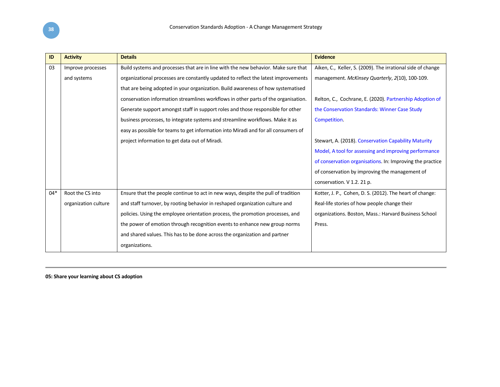| ID    | <b>Activity</b>      | <b>Details</b>                                                                     | <b>Evidence</b>                                             |
|-------|----------------------|------------------------------------------------------------------------------------|-------------------------------------------------------------|
| 03    | Improve processes    | Build systems and processes that are in line with the new behavior. Make sure that | Aiken, C., Keller, S. (2009). The irrational side of change |
|       | and systems          | organizational processes are constantly updated to reflect the latest improvements | management. McKinsey Quarterly, 2(10), 100-109.             |
|       |                      | that are being adopted in your organization. Build awareness of how systematised   |                                                             |
|       |                      | conservation information streamlines workflows in other parts of the organisation. | Relton, C., Cochrane, E. (2020). Partnership Adoption of    |
|       |                      | Generate support amongst staff in support roles and those responsible for other    | the Conservation Standards: Winner Case Study               |
|       |                      | business processes, to integrate systems and streamline workflows. Make it as      | Competition.                                                |
|       |                      | easy as possible for teams to get information into Miradi and for all consumers of |                                                             |
|       |                      | project information to get data out of Miradi.                                     | Stewart, A. (2018). Conservation Capability Maturity        |
|       |                      |                                                                                    | Model, A tool for assessing and improving performance       |
|       |                      |                                                                                    | of conservation organisations. In: Improving the practice   |
|       |                      |                                                                                    | of conservation by improving the management of              |
|       |                      |                                                                                    | conservation. V 1.2. 21 p.                                  |
| $04*$ | Root the CS into     | Ensure that the people continue to act in new ways, despite the pull of tradition  | Kotter, J. P., Cohen, D. S. (2012). The heart of change:    |
|       | organization culture | and staff turnover, by rooting behavior in reshaped organization culture and       | Real-life stories of how people change their                |
|       |                      | policies. Using the employee orientation process, the promotion processes, and     | organizations. Boston, Mass.: Harvard Business School       |
|       |                      | the power of emotion through recognition events to enhance new group norms         | Press.                                                      |
|       |                      | and shared values. This has to be done across the organization and partner         |                                                             |
|       |                      | organizations.                                                                     |                                                             |

**05: Share your learning about CS adoption**